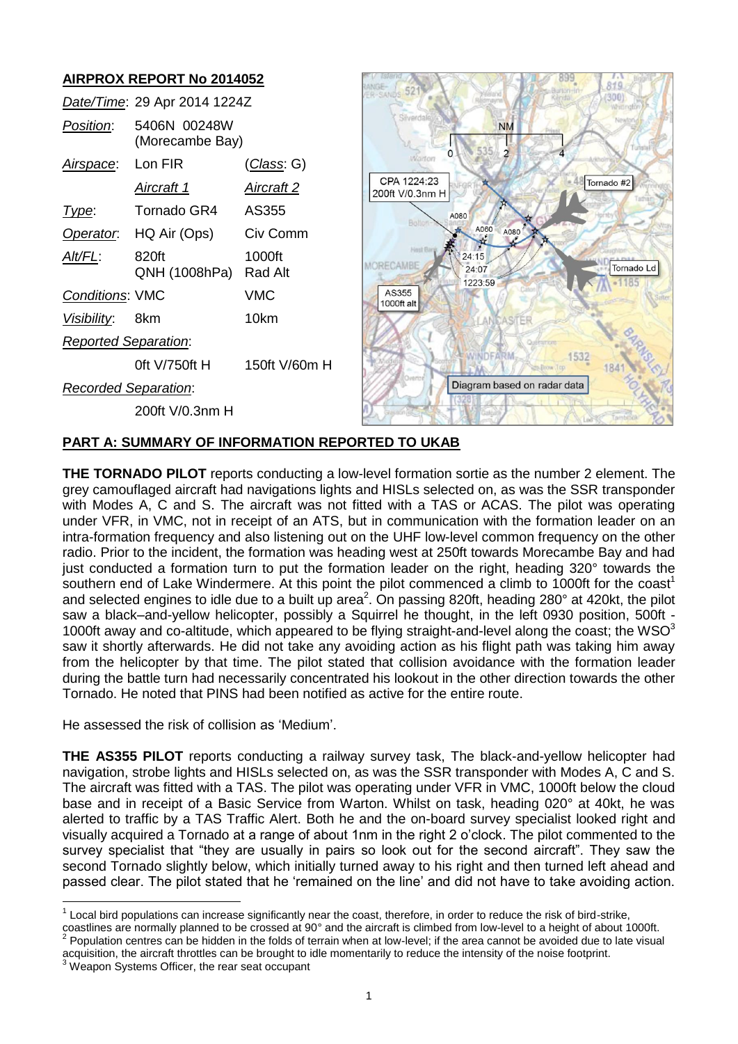# **AIRPROX REPORT No 2014052**

|                             | Date/Time: 29 Apr 2014 1224Z    |               |
|-----------------------------|---------------------------------|---------------|
| Position:                   | 5406N 00248W<br>(Morecambe Bay) |               |
| Airspace: Lon FIR           |                                 | (Class: G)    |
|                             | Aircraft 1                      | Aircraft 2    |
| <u> I ype:</u>              | Tornado GR4 AS355               |               |
|                             | Operator. HQ Air (Ops)          | Civ Comm      |
| AIt/FL:                     | 820ft<br>QNH (1008hPa) Rad Alt  | 1000ft        |
| <b>Conditions: VMC</b>      |                                 | VMC           |
| <i>Visibility</i> : 8km     |                                 | 10km          |
| <b>Reported Separation:</b> |                                 |               |
|                             | 0ft V/750ft H                   | 150ft V/60m H |
| <b>Recorded Separation:</b> |                                 |               |
|                             | 200ft V/0.3nm H                 |               |



# **PART A: SUMMARY OF INFORMATION REPORTED TO UKAB**

**THE TORNADO PILOT** reports conducting a low-level formation sortie as the number 2 element. The grey camouflaged aircraft had navigations lights and HISLs selected on, as was the SSR transponder with Modes A, C and S. The aircraft was not fitted with a TAS or ACAS. The pilot was operating under VFR, in VMC, not in receipt of an ATS, but in communication with the formation leader on an intra-formation frequency and also listening out on the UHF low-level common frequency on the other radio. Prior to the incident, the formation was heading west at 250ft towards Morecambe Bay and had just conducted a formation turn to put the formation leader on the right, heading 320° towards the southern end of Lake Windermere. At this point the pilot commenced a climb to 1000ft for the coast<sup>1</sup> and selected engines to idle due to a built up area<sup>2</sup>. On passing 820ft, heading 280° at 420kt, the pilot saw a black–and-yellow helicopter, possibly a Squirrel he thought, in the left 0930 position, 500ft - 1000ft away and co-altitude, which appeared to be flying straight-and-level along the coast; the WSO $3$ saw it shortly afterwards. He did not take any avoiding action as his flight path was taking him away from the helicopter by that time. The pilot stated that collision avoidance with the formation leader during the battle turn had necessarily concentrated his lookout in the other direction towards the other Tornado. He noted that PINS had been notified as active for the entire route.

He assessed the risk of collision as 'Medium'.

**THE AS355 PILOT** reports conducting a railway survey task, The black-and-yellow helicopter had navigation, strobe lights and HISLs selected on, as was the SSR transponder with Modes A, C and S. The aircraft was fitted with a TAS. The pilot was operating under VFR in VMC, 1000ft below the cloud base and in receipt of a Basic Service from Warton. Whilst on task, heading 020° at 40kt, he was alerted to traffic by a TAS Traffic Alert. Both he and the on-board survey specialist looked right and visually acquired a Tornado at a range of about 1nm in the right 2 o'clock. The pilot commented to the survey specialist that "they are usually in pairs so look out for the second aircraft". They saw the second Tornado slightly below, which initially turned away to his right and then turned left ahead and passed clear. The pilot stated that he 'remained on the line' and did not have to take avoiding action.

coastlines are normally planned to be crossed at 90° and the aircraft is climbed from low-level to a height of about 1000ft.<br><sup>2</sup> Pepulation contros can be hidden in the folds of terrain when at low lovel: if the area canno Population centres can be hidden in the folds of terrain when at low-level; if the area cannot be avoided due to late visual acquisition, the aircraft throttles can be brought to idle momentarily to reduce the intensity of the noise footprint.

Weapon Systems Officer, the rear seat occupant

 $\overline{\phantom{a}}$ 

 $1$  Local bird populations can increase significantly near the coast, therefore, in order to reduce the risk of bird-strike,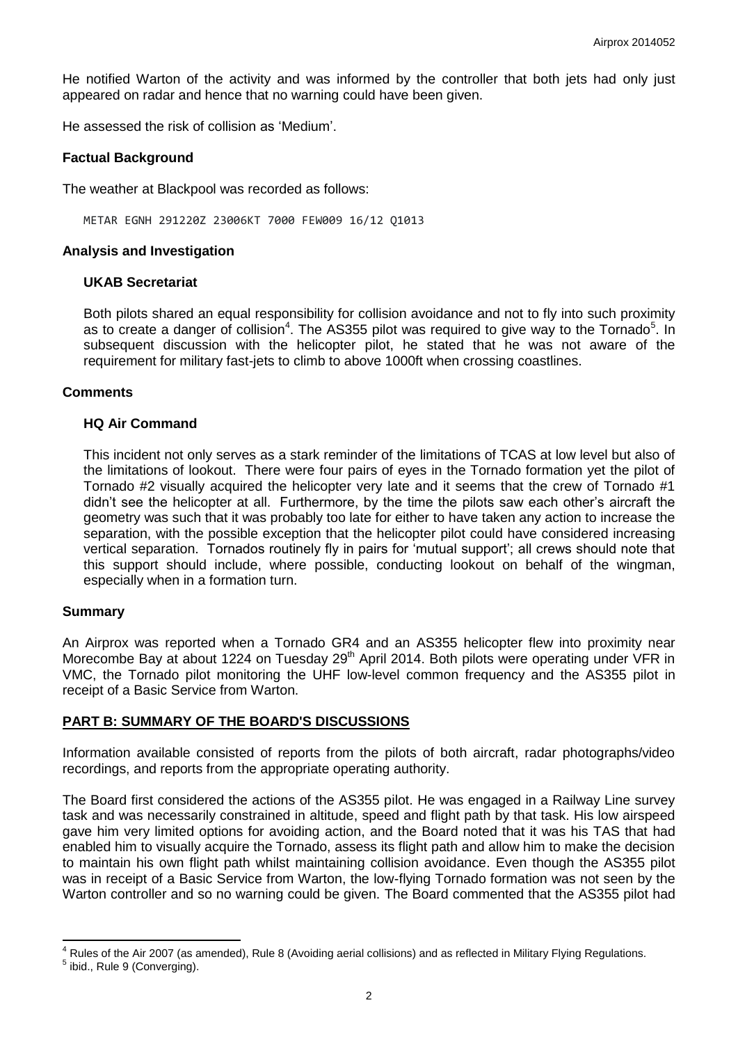He notified Warton of the activity and was informed by the controller that both jets had only just appeared on radar and hence that no warning could have been given.

He assessed the risk of collision as 'Medium'.

# **Factual Background**

The weather at Blackpool was recorded as follows:

METAR EGNH 291220Z 23006KT 7000 FEW009 16/12 Q1013

### **Analysis and Investigation**

#### **UKAB Secretariat**

Both pilots shared an equal responsibility for collision avoidance and not to fly into such proximity as to create a danger of collision<sup>4</sup>. The AS355 pilot was required to give way to the Tornado<sup>5</sup>. In subsequent discussion with the helicopter pilot, he stated that he was not aware of the requirement for military fast-jets to climb to above 1000ft when crossing coastlines.

#### **Comments**

#### **HQ Air Command**

This incident not only serves as a stark reminder of the limitations of TCAS at low level but also of the limitations of lookout. There were four pairs of eyes in the Tornado formation yet the pilot of Tornado #2 visually acquired the helicopter very late and it seems that the crew of Tornado #1 didn't see the helicopter at all. Furthermore, by the time the pilots saw each other's aircraft the geometry was such that it was probably too late for either to have taken any action to increase the separation, with the possible exception that the helicopter pilot could have considered increasing vertical separation. Tornados routinely fly in pairs for 'mutual support'; all crews should note that this support should include, where possible, conducting lookout on behalf of the wingman, especially when in a formation turn.

# **Summary**

 $\overline{\phantom{a}}$ 

An Airprox was reported when a Tornado GR4 and an AS355 helicopter flew into proximity near Morecombe Bay at about 1224 on Tuesday 29<sup>th</sup> April 2014. Both pilots were operating under VFR in VMC, the Tornado pilot monitoring the UHF low-level common frequency and the AS355 pilot in receipt of a Basic Service from Warton.

# **PART B: SUMMARY OF THE BOARD'S DISCUSSIONS**

Information available consisted of reports from the pilots of both aircraft, radar photographs/video recordings, and reports from the appropriate operating authority.

The Board first considered the actions of the AS355 pilot. He was engaged in a Railway Line survey task and was necessarily constrained in altitude, speed and flight path by that task. His low airspeed gave him very limited options for avoiding action, and the Board noted that it was his TAS that had enabled him to visually acquire the Tornado, assess its flight path and allow him to make the decision to maintain his own flight path whilst maintaining collision avoidance. Even though the AS355 pilot was in receipt of a Basic Service from Warton, the low-flying Tornado formation was not seen by the Warton controller and so no warning could be given. The Board commented that the AS355 pilot had

<sup>&</sup>lt;sup>4</sup> Rules of the Air 2007 (as amended), Rule 8 (Avoiding aerial collisions) and as reflected in Military Flying Regulations. <sup>5</sup> ibid., Rule 9 (Converging).